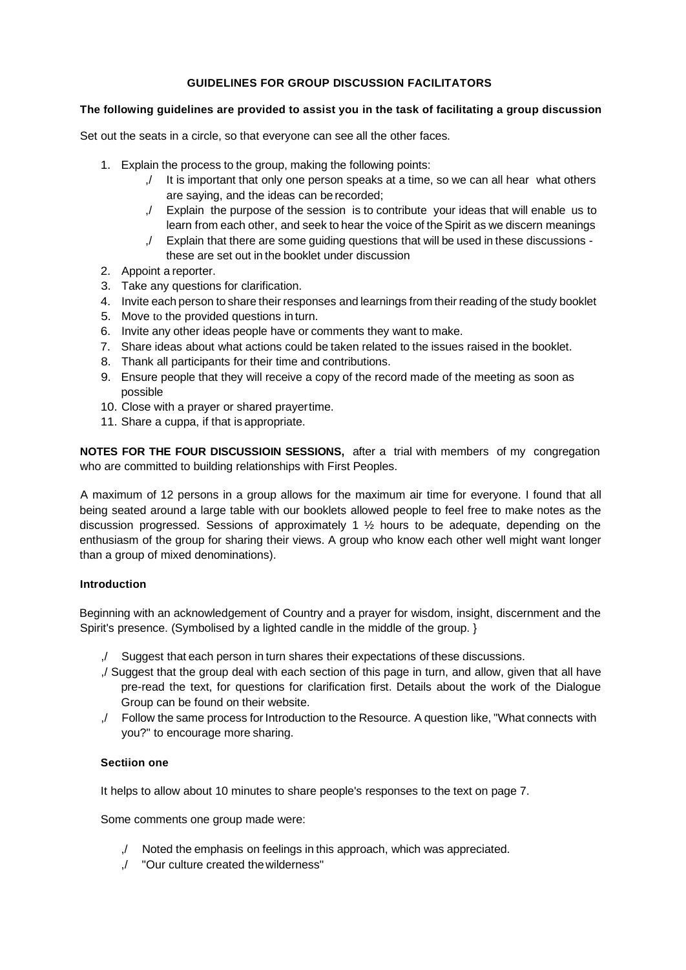# **GUIDELINES FOR GROUP DISCUSSION FACILITATORS**

### **The following guidelines are provided to assist you in the task of facilitating a group discussion**

Set out the seats in a circle, so that everyone can see all the other faces.

- 1. Explain the process to the group, making the following points:
	- ,/ It is important that only one person speaks at a time, so we can all hear what others are saying, and the ideas can be recorded;
	- ,/ Explain the purpose of the session is to contribute your ideas that will enable us to learn from each other, and seek to hear the voice of theSpirit as we discern meanings
	- ,/ Explain that there are some guiding questions that will be used in these discussions these are set out in the booklet under discussion
- 2. Appoint a reporter.
- 3. Take any questions for clarification.
- 4. Invite each person to share their responses and learnings from their reading of the study booklet
- 5. Move to the provided questions in turn.
- 6. Invite any other ideas people have or comments they want to make.
- 7. Share ideas about what actions could be taken related to the issues raised in the booklet.
- 8. Thank all participants for their time and contributions.
- 9. Ensure people that they will receive a copy of the record made of the meeting as soon as possible
- 10. Close with a prayer or shared prayertime.
- 11. Share a cuppa, if that is appropriate.

**NOTES FOR THE FOUR DISCUSSIOIN SESSIONS,** after a trial with members of my congregation who are committed to building relationships with First Peoples.

A maximum of 12 persons in a group allows for the maximum air time for everyone. I found that all being seated around a large table with our booklets allowed people to feel free to make notes as the discussion progressed. Sessions of approximately 1  $\frac{1}{2}$  hours to be adequate, depending on the enthusiasm of the group for sharing their views. A group who know each other well might want longer than a group of mixed denominations).

# **Introduction**

Beginning with an acknowledgement of Country and a prayer for wisdom, insight, discernment and the Spirit's presence. (Symbolised by a lighted candle in the middle of the group. }

- ,/ Suggest that each person in turn shares their expectations of these discussions.
- ,/ Suggest that the group deal with each section of this page in turn, and allow, given that all have pre-read the text, for questions for clarification first. Details about the work of the Dialogue Group can be found on their website.
- ,/ Follow the same process for Introduction to the Resource. A question like, "What connects with you?" to encourage more sharing.

# **Sectiion one**

It helps to allow about 10 minutes to share people's responses to the text on page 7.

Some comments one group made were:

- ,/ Noted the emphasis on feelings in this approach, which was appreciated.
- ,/ "Our culture created thewilderness"